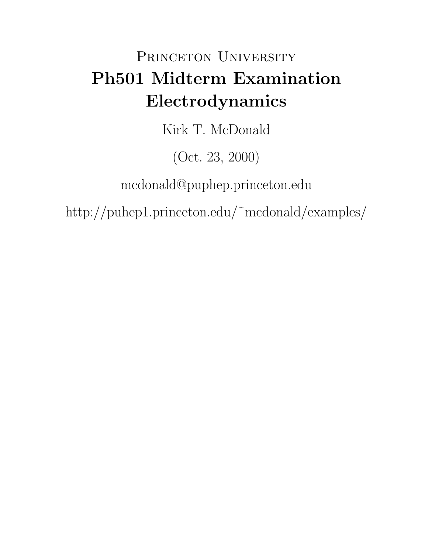## PRINCETON UNIVERSITY Ph501 Midterm Examination Electrodynamics

Kirk T. McDonald

(Oct. 23, 2000)

mcdonald@puphep.princeton.edu

http://puhep1.princeton.edu/˜mcdonald/examples/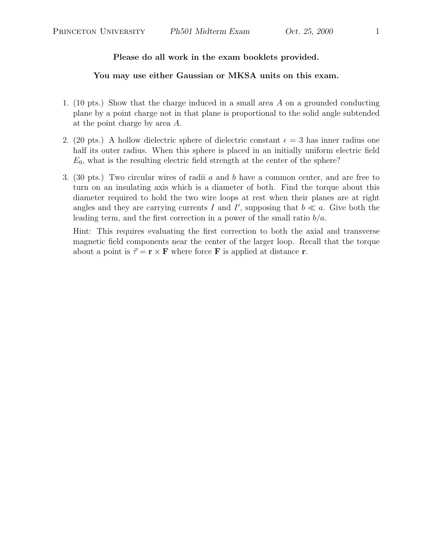## Please do all work in the exam booklets provided.

## You may use either Gaussian or MKSA units on this exam.

- 1. (10 pts.) Show that the charge induced in a small area A on a grounded conducting plane by a point charge not in that plane is proportional to the solid angle subtended at the point charge by area A.
- 2. (20 pts.) A hollow dielectric sphere of dielectric constant  $\epsilon = 3$  has inner radius one half its outer radius. When this sphere is placed in an initially uniform electric field  $E_0$ , what is the resulting electric field strength at the center of the sphere?
- 3. (30 pts.) Two circular wires of radii a and b have a common center, and are free to turn on an insulating axis which is a diameter of both. Find the torque about this diameter required to hold the two wire loops at rest when their planes are at right angles and they are carrying currents I and I', supposing that  $b \ll a$ . Give both the leading term, and the first correction in a power of the small ratio  $b/a$ .

Hint: This requires evaluating the first correction to both the axial and transverse magnetic field components near the center of the larger loop. Recall that the torque about a point is  $\vec{\tau} = \mathbf{r} \times \mathbf{F}$  where force **F** is applied at distance **r**.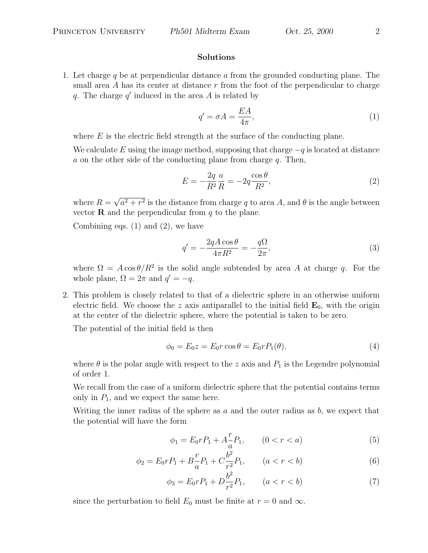## Solutions

1. Let charge q be at perpendicular distance  $\alpha$  from the grounded conducting plane. The small area A has its center at distance  $r$  from the foot of the perpendicular to charge q. The charge  $q'$  induced in the area A is related by

$$
q' = \sigma A = \frac{EA}{4\pi},\tag{1}
$$

where  $E$  is the electric field strength at the surface of the conducting plane.

We calculate E using the image method, supposing that charge  $-q$  is located at distance  $a$  on the other side of the conducting plane from charge  $q$ . Then,

$$
E = -\frac{2q}{R^2} \frac{a}{R} = -2q \frac{\cos \theta}{R^2},\tag{2}
$$

where  $R =$ √  $a^2 + r^2$  is the distance from charge q to area A, and  $\theta$  is the angle between vector **R** and the perpendicular from  $q$  to the plane.

Combining eqs.  $(1)$  and  $(2)$ , we have

$$
q' = -\frac{2qA\cos\theta}{4\pi R^2} = -\frac{q\Omega}{2\pi},\tag{3}
$$

where  $\Omega = A \cos \theta / R^2$  is the solid angle subtended by area A at charge q. For the whole plane,  $\Omega = 2\pi$  and  $q' = -q$ .

2. This problem is closely related to that of a dielectric sphere in an otherwise uniform electric field. We choose the z axis antiparallel to the initial field  $\mathbf{E}_0$ , with the origin at the center of the dielectric sphere, where the potential is taken to be zero.

The potential of the initial field is then

$$
\phi_0 = E_0 z = E_0 r \cos \theta = E_0 r P_1(\theta),\tag{4}
$$

where  $\theta$  is the polar angle with respect to the z axis and  $P_1$  is the Legendre polynomial of order 1.

We recall from the case of a uniform dielectric sphere that the potential contains terms only in  $P_1$ , and we expect the same here.

Writing the inner radius of the sphere as  $a$  and the outer radius as  $b$ , we expect that the potential will have the form

$$
\phi_1 = E_0 r P_1 + A \frac{r}{a} P_1, \qquad (0 < r < a) \tag{5}
$$

$$
\phi_2 = E_0 r P_1 + B \frac{r}{a} P_1 + C \frac{b^2}{r^2} P_1, \qquad (a < r < b)
$$
\n<sup>(6)</sup>

$$
\phi_3 = E_0 r P_1 + D \frac{b^2}{r^2} P_1, \qquad (a < r < b)
$$
\n<sup>(7)</sup>

since the perturbation to field  $E_0$  must be finite at  $r = 0$  and  $\infty$ .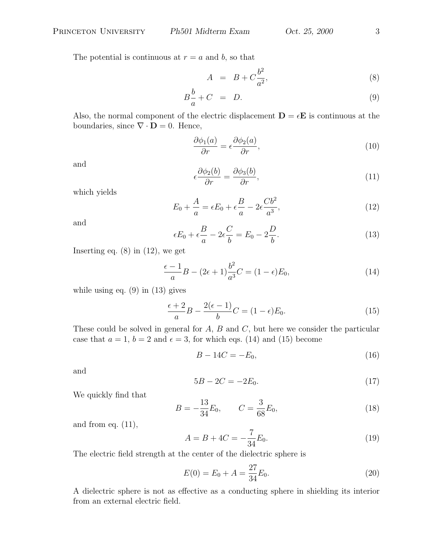The potential is continuous at  $r = a$  and b, so that

$$
A = B + C \frac{b^2}{a^2}, \tag{8}
$$

$$
B\frac{b}{a} + C = D. \tag{9}
$$

Also, the normal component of the electric displacement  $\mathbf{D} = \epsilon \mathbf{E}$  is continuous at the boundaries, since  $\nabla \cdot \mathbf{D} = 0$ . Hence,

$$
\frac{\partial \phi_1(a)}{\partial r} = \epsilon \frac{\partial \phi_2(a)}{\partial r},\tag{10}
$$

and

$$
\epsilon \frac{\partial \phi_2(b)}{\partial r} = \frac{\partial \phi_3(b)}{\partial r},\tag{11}
$$

which yields

$$
E_0 + \frac{A}{a} = \epsilon E_0 + \epsilon \frac{B}{a} - 2\epsilon \frac{Cb^2}{a^3},\tag{12}
$$

and

$$
\epsilon E_0 + \epsilon \frac{B}{a} - 2\epsilon \frac{C}{b} = E_0 - 2\frac{D}{b}.\tag{13}
$$

Inserting eq.  $(8)$  in  $(12)$ , we get

$$
\frac{\epsilon - 1}{a}B - (2\epsilon + 1)\frac{b^2}{a^3}C = (1 - \epsilon)E_0,
$$
\n(14)

while using eq.  $(9)$  in  $(13)$  gives

$$
\frac{\epsilon+2}{a}B - \frac{2(\epsilon-1)}{b}C = (1-\epsilon)E_0.
$$
\n(15)

These could be solved in general for  $A, B$  and  $C$ , but here we consider the particular case that  $a = 1$ ,  $b = 2$  and  $\epsilon = 3$ , for which eqs. (14) and (15) become

$$
B - 14C = -E_0,\t(16)
$$

and

$$
5B - 2C = -2E_0.
$$
\n(17)

We quickly find that

$$
B = -\frac{13}{34}E_0, \qquad C = \frac{3}{68}E_0,\tag{18}
$$

and from eq.  $(11)$ ,

$$
A = B + 4C = -\frac{7}{34}E_0.
$$
\n(19)

The electric field strength at the center of the dielectric sphere is

$$
E(0) = E_0 + A = \frac{27}{34} E_0.
$$
\n(20)

A dielectric sphere is not as effective as a conducting sphere in shielding its interior from an external electric field.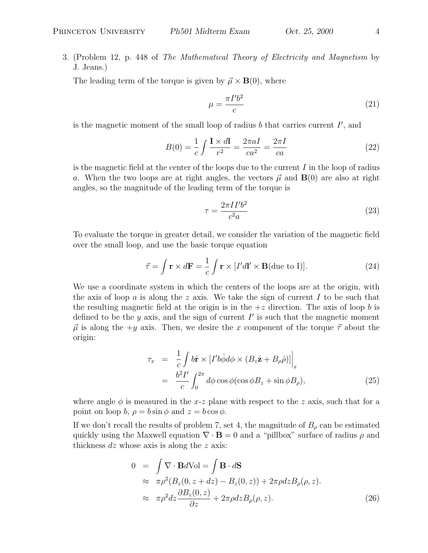3. (Problem 12, p. 448 of The Mathematical Theory of Electricity and Magnetism by J. Jeans.)

The leading term of the torque is given by  $\vec{\mu} \times \mathbf{B}(0)$ , where

$$
\mu = \frac{\pi I' b^2}{c} \tag{21}
$$

is the magnetic moment of the small loop of radius  $b$  that carries current  $I'$ , and

$$
B(0) = \frac{1}{c} \int \frac{\mathbf{I} \times d\mathbf{l}}{r^2} = \frac{2\pi a I}{ca^2} = \frac{2\pi I}{ca}
$$
 (22)

is the magnetic field at the center of the loops due to the current  $I$  in the loop of radius a. When the two loops are at right angles, the vectors  $\vec{\mu}$  and  $\bf{B}(0)$  are also at right angles, so the magnitude of the leading term of the torque is

$$
\tau = \frac{2\pi II'b^2}{c^2 a} \tag{23}
$$

To evaluate the torque in greater detail, we consider the variation of the magnetic field over the small loop, and use the basic torque equation

$$
\vec{\tau} = \int \mathbf{r} \times d\mathbf{F} = \frac{1}{c} \int \mathbf{r} \times [I'dI' \times \mathbf{B}(\text{due to I})]. \tag{24}
$$

We use a coordinate system in which the centers of the loops are at the origin, with the axis of loop a is along the z axis. We take the sign of current I to be such that the resulting magnetic field at the origin is in the  $+z$  direction. The axis of loop b is defined to be the y axis, and the sign of current  $I'$  is such that the magnetic moment  $\vec{\mu}$  is along the +y axis. Then, we desire the x component of the torque  $\vec{\tau}$  about the origin:

$$
\tau_x = \frac{1}{c} \int b\hat{\mathbf{r}} \times [I'b\hat{\phi} d\phi \times (B_z \hat{\mathbf{z}} + B_\rho \hat{\rho})] \Big|_x
$$
  
= 
$$
\frac{b^2 I'}{c} \int_0^{2\pi} d\phi \cos \phi (\cos \phi B_z + \sin \phi B_\rho),
$$
 (25)

where angle  $\phi$  is measured in the x-z plane with respect to the z axis, such that for a point on loop b,  $\rho = b \sin \phi$  and  $z = b \cos \phi$ .

If we don't recall the results of problem 7, set 4, the magnitude of  $B_\rho$  can be estimated quickly using the Maxwell equation  $\nabla \cdot \mathbf{B} = 0$  and a "pillbox" surface of radius  $\rho$  and thickness  $dz$  whose axis is along the  $z$  axis:

$$
0 = \int \nabla \cdot \mathbf{B}dVol = \int \mathbf{B} \cdot d\mathbf{S}
$$
  
\n
$$
\approx \pi \rho^2 (B_z(0, z + dz) - B_z(0, z)) + 2\pi \rho dz B_\rho(\rho, z).
$$
  
\n
$$
\approx \pi \rho^2 dz \frac{\partial B_z(0, z)}{\partial z} + 2\pi \rho dz B_\rho(\rho, z).
$$
 (26)